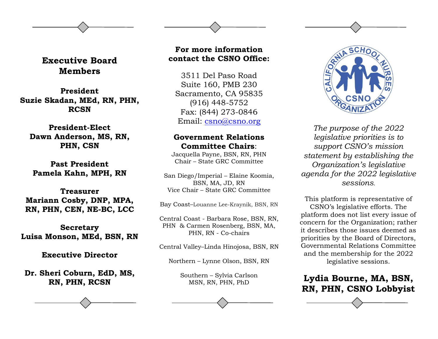## **Executive Board Members**

**President Suzie Skadan, MEd, RN, PHN, RCSN**

#### **President-Elect Dawn Anderson, MS, RN, PHN, CSN**

**Past President Pamela Kahn, MPH, RN**

**Treasurer Mariann Cosby, DNP, MPA, RN, PHN, CEN, NE-BC, LCC**

**Secretary Luisa Monson, MEd, BSN, RN** 

**Executive Director**

**Dr. Sheri Coburn, EdD, MS, RN, PHN, RCSN**

### **For more information contact the CSNO Office:**

3511 Del Paso Road Suite 160, PMB 230 Sacramento, CA 95835 (916) 448-5752 Fax: (844) 273-0846 Email: [csno@csno.org](mailto:csno@csno.org)

### **Government Relations Committee Chairs**:

Jacquella Payne, BSN, RN, PHN Chair – State GRC Committee

San Diego/Imperial – Elaine Koomia, BSN, MA, JD, RN Vice Chair – State GRC Committee

Bay Coast–Louanne Lee-Kraynik, BSN, RN

Central Coast - Barbara Rose, BSN, RN, PHN & Carmen Rosenberg, BSN, MA, PHN, RN - Co-chairs

Central Valley–Linda Hinojosa, BSN, RN

Northern – Lynne Olson, BSN, RN

Southern – Sylvia Carlson MSN, RN, PHN, PhD



*The purpose of the 2022 legislative priorities is to support CSNO's mission statement by establishing the Organization's legislative agenda for the 2022 legislative sessions.*

This platform is representative of CSNO's legislative efforts. The platform does not list every issue of concern for the Organization; rather it describes those issues deemed as priorities by the Board of Directors, Governmental Relations Committee and the membership for the 2022 legislative sessions.

**Lydia Bourne, MA, BSN, RN, PHN, CSNO Lobbyist**